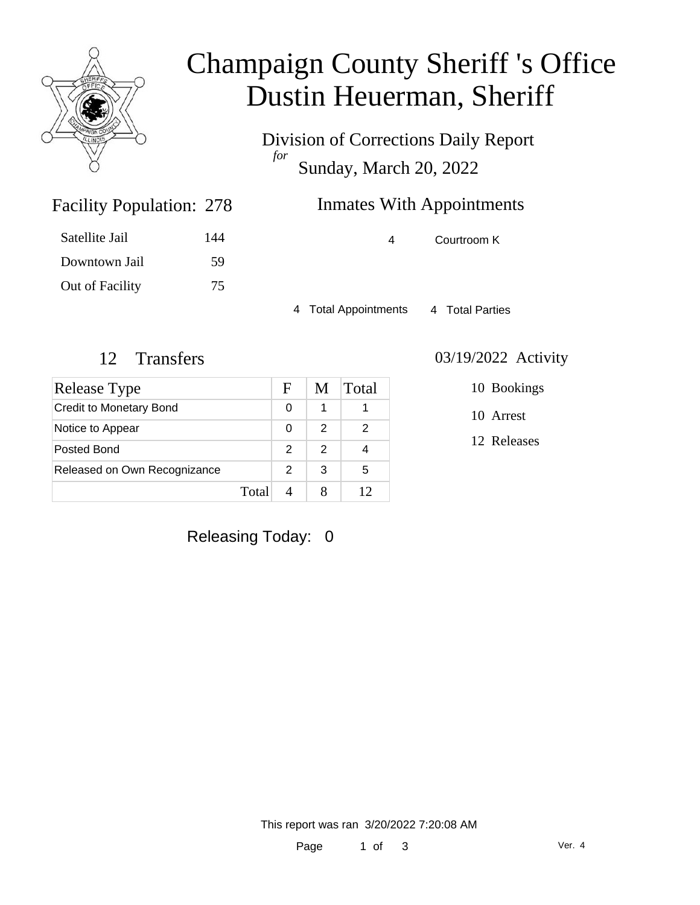

# Champaign County Sheriff 's Office Dustin Heuerman, Sheriff

Division of Corrections Daily Report *for* Sunday, March 20, 2022

### Inmates With Appointments

| <b>Facility Population: 278</b> |  |
|---------------------------------|--|
|                                 |  |

| Satellite Jail  | 144 |
|-----------------|-----|
| Downtown Jail   | 59  |
| Out of Facility | 75  |

4 Courtroom K

4 Total Appointments 4 Total Parties

#### 12 Transfers 03/19/2022 Activity

| Release Type                   |       | F | M | Total |
|--------------------------------|-------|---|---|-------|
| <b>Credit to Monetary Bond</b> |       | O |   |       |
| Notice to Appear               |       | 0 | 2 | 2     |
| Posted Bond                    |       | 2 | 2 |       |
| Released on Own Recognizance   |       | 2 | 3 | 5     |
|                                | Total |   |   |       |

10 Bookings

10 Arrest

12 Releases

Releasing Today: 0

This report was ran 3/20/2022 7:20:08 AM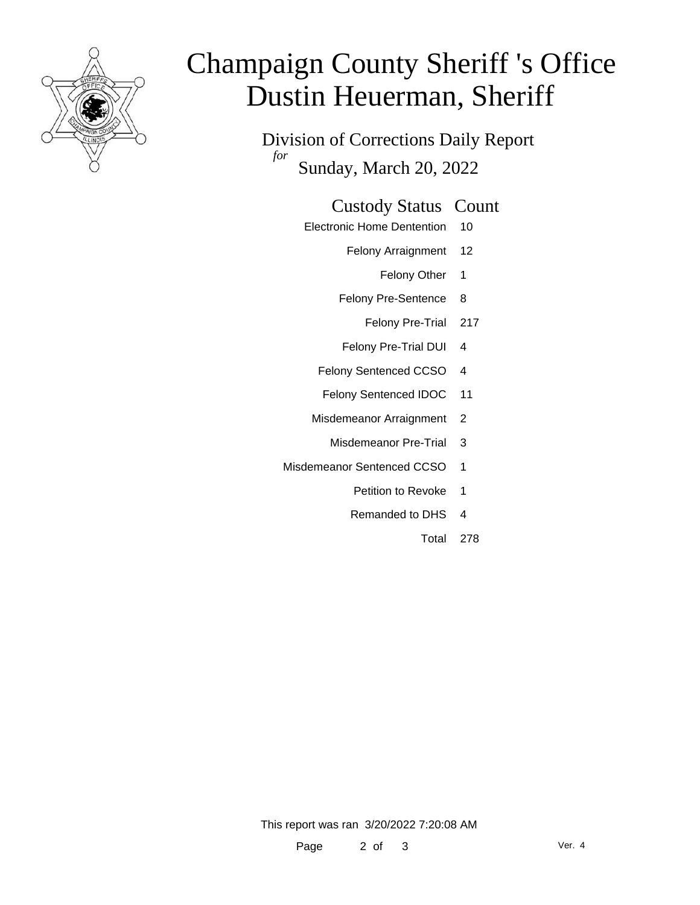

# Champaign County Sheriff 's Office Dustin Heuerman, Sheriff

Division of Corrections Daily Report *for* Sunday, March 20, 2022

#### Custody Status Count

- Electronic Home Dentention 10
	- Felony Arraignment 12
		- Felony Other 1
	- Felony Pre-Sentence 8
		- Felony Pre-Trial 217
	- Felony Pre-Trial DUI 4
	- Felony Sentenced CCSO 4
	- Felony Sentenced IDOC 11
	- Misdemeanor Arraignment 2
		- Misdemeanor Pre-Trial 3
- Misdemeanor Sentenced CCSO 1
	- Petition to Revoke 1
	- Remanded to DHS 4
		- Total 278

This report was ran 3/20/2022 7:20:08 AM